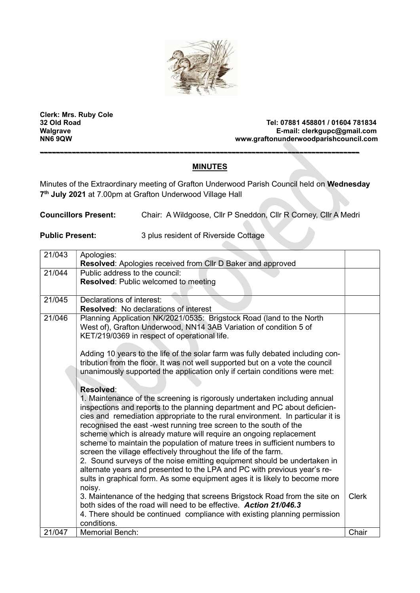

Clerk: Mrs. Ruby Cole

Tel: 07881 458801 / 01604 781834 Walgrave E-mail: clerkgupc@gmail.com<br>NN6 9QW NN6 9QW NN6 9QW www.graftonunderwoodparishcouncil.com

## MINUTES

--------------------------------------------------------------------------------

Minutes of the Extraordinary meeting of Grafton Underwood Parish Council held on Wednesday 7<sup>th</sup> July 2021 at 7.00pm at Grafton Underwood Village Hall

Councillors Present: Chair: A Wildgoose, Cllr P Sneddon, Cllr R Corney, Cllr A Medri

Public Present: 3 plus resident of Riverside Cottage

| 21/043 | Apologies:                                                                                                        |              |
|--------|-------------------------------------------------------------------------------------------------------------------|--------------|
|        | Resolved: Apologies received from Cllr D Baker and approved                                                       |              |
| 21/044 | Public address to the council:                                                                                    |              |
|        | <b>Resolved: Public welcomed to meeting</b>                                                                       |              |
|        |                                                                                                                   |              |
| 21/045 | Declarations of interest:                                                                                         |              |
|        | <b>Resolved:</b> No declarations of interest                                                                      |              |
| 21/046 | Planning Application NK/2021/0535: Brigstock Road (land to the North                                              |              |
|        | West of), Grafton Underwood, NN14 3AB Variation of condition 5 of<br>KET/219/0369 in respect of operational life. |              |
|        |                                                                                                                   |              |
|        | Adding 10 years to the life of the solar farm was fully debated including con-                                    |              |
|        | tribution from the floor. It was not well supported but on a vote the council                                     |              |
|        | unanimously supported the application only if certain conditions were met:                                        |              |
|        |                                                                                                                   |              |
|        | Resolved:                                                                                                         |              |
|        | 1. Maintenance of the screening is rigorously undertaken including annual                                         |              |
|        | inspections and reports to the planning department and PC about deficien-                                         |              |
|        | cies and remediation appropriate to the rural environment. In particular it is                                    |              |
|        | recognised the east -west running tree screen to the south of the                                                 |              |
|        | scheme which is already mature will require an ongoing replacement                                                |              |
|        | scheme to maintain the population of mature trees in sufficient numbers to                                        |              |
|        | screen the village effectively throughout the life of the farm.                                                   |              |
|        | 2. Sound surveys of the noise emitting equipment should be undertaken in                                          |              |
|        | alternate years and presented to the LPA and PC with previous year's re-                                          |              |
|        | sults in graphical form. As some equipment ages it is likely to become more                                       |              |
|        | noisy.                                                                                                            |              |
|        | 3. Maintenance of the hedging that screens Brigstock Road from the site on                                        | <b>Clerk</b> |
|        | both sides of the road will need to be effective. Action 21/046.3                                                 |              |
|        | 4. There should be continued compliance with existing planning permission                                         |              |
|        | conditions.                                                                                                       |              |
| 21/047 | <b>Memorial Bench:</b>                                                                                            | Chair        |